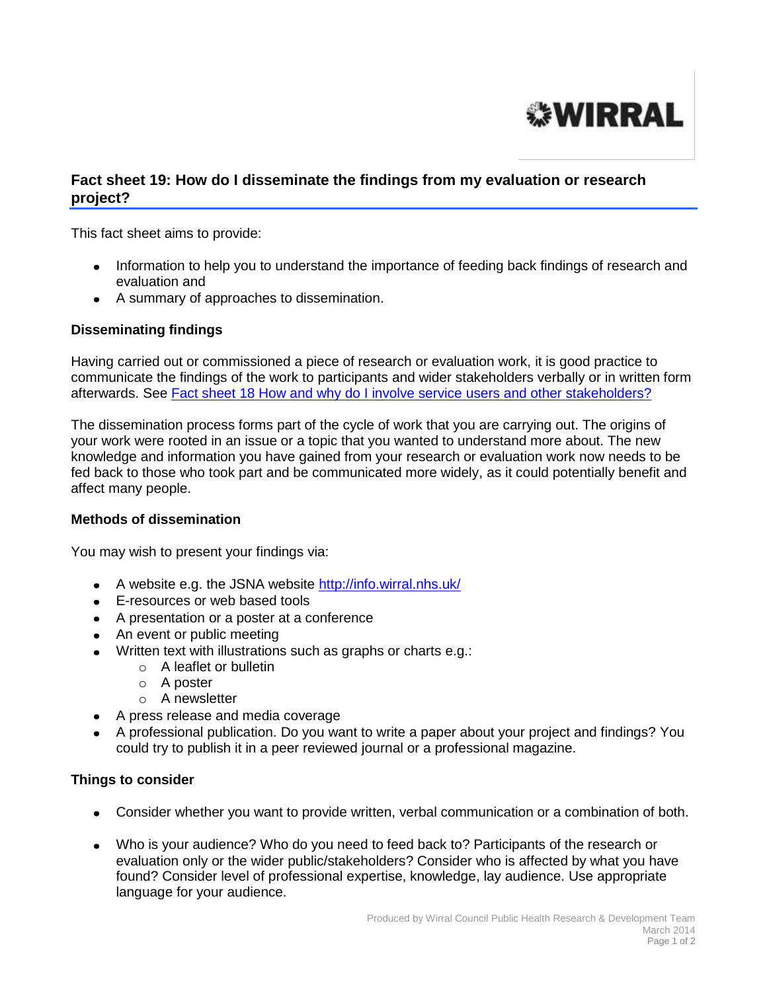

## **Fact sheet 19: How do I disseminate the findings from my evaluation or research project?**

This fact sheet aims to provide:

- Information to help you to understand the importance of feeding back findings of research and evaluation and
- A summary of approaches to dissemination.

## **Disseminating findings**

Having carried out or commissioned a piece of research or evaluation work, it is good practice to communicate the findings of the work to participants and wider stakeholders verbally or in written form afterwards. See [Fact sheet 18 How and why do I involve service](http://info.wirral.nhs.uk/intelligencehub/howtofact-sheetsonevidence&research.html) users and other stakeholders?

The dissemination process forms part of the cycle of work that you are carrying out. The origins of your work were rooted in an issue or a topic that you wanted to understand more about. The new knowledge and information you have gained from your research or evaluation work now needs to be fed back to those who took part and be communicated more widely, as it could potentially benefit and affect many people.

## **Methods of dissemination**

You may wish to present your findings via:

- A website e.g. the JSNA website <http://info.wirral.nhs.uk/>
- E-resources or web based tools
- A presentation or a poster at a conference
- An event or public meeting
- Written text with illustrations such as graphs or charts e.g.:
	- o A leaflet or bulletin
	- o A poster
	- o A newsletter
- A press release and media coverage
- A professional publication. Do you want to write a paper about your project and findings? You could try to publish it in a peer reviewed journal or a professional magazine.

## **Things to consider**

- Consider whether you want to provide written, verbal communication or a combination of both.
- Who is your audience? Who do you need to feed back to? Participants of the research or evaluation only or the wider public/stakeholders? Consider who is affected by what you have found? Consider level of professional expertise, knowledge, lay audience. Use appropriate language for your audience.